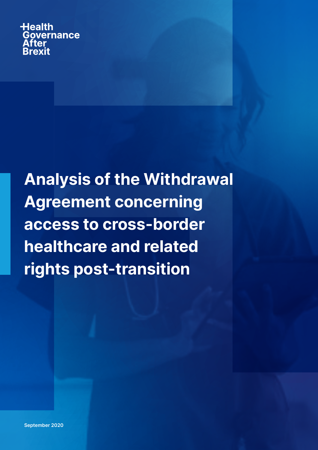**Health** Governance After **Brexit** 

Analysis of the Withdrawal Agreement concerning access to cross-border healthcare and related rights post-transition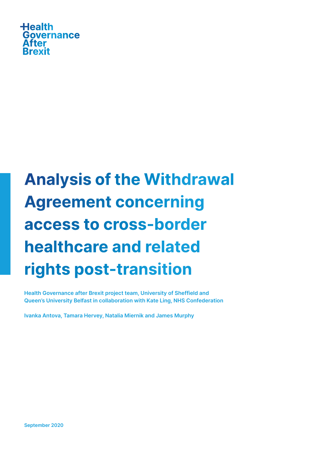

# Analysis of the Withdrawal Agreement concerning access to cross-border healthcare and related rights post-transition

Health Governance after Brexit project team, University of Sheffield and Queen's University Belfast in collaboration with Kate Ling, NHS Confederation

Ivanka Antova, Tamara Hervey, Natalia Miernik and James Murphy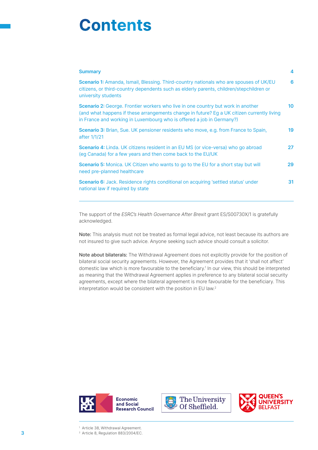# **Contents**

| <b>Summary</b>                                                                                                                                                                                                                                                 | 4  |
|----------------------------------------------------------------------------------------------------------------------------------------------------------------------------------------------------------------------------------------------------------------|----|
| <b>Scenario 1:</b> Amanda, Ismail, Blessing. Third-country nationals who are spouses of UK/EU<br>citizens, or third-country dependents such as elderly parents, children/stepchildren or<br>university students                                                | 6  |
| <b>Scenario 2:</b> George. Frontier workers who live in one country but work in another<br>(and what happens if these arrangements change in future? Eg a UK citizen currently living<br>in France and working in Luxembourg who is offered a job in Germany?) | 10 |
| <b>Scenario 3:</b> Brian, Sue. UK pensioner residents who move, e.g. from France to Spain,<br>after 1/1/21                                                                                                                                                     | 19 |
| <b>Scenario 4:</b> Linda. UK citizens resident in an EU MS (or vice-versa) who go abroad<br>(eg Canada) for a few years and then come back to the EU/UK                                                                                                        | 27 |
| <b>Scenario 5:</b> Monica. UK Citizen who wants to go to the EU for a short stay but will<br>need pre-planned healthcare                                                                                                                                       | 29 |
| <b>Scenario 6:</b> Jack. Residence rights conditional on acquiring 'settled status' under<br>national law if required by state                                                                                                                                 | 31 |

The support of the ESRC's Health Governance After Brexit grant ES/S00730X/1 is gratefully acknowledged.

Note: This analysis must not be treated as formal legal advice, not least because its authors are not insured to give such advice. Anyone seeking such advice should consult a solicitor.

Note about bilaterals: The Withdrawal Agreement does not explicitly provide for the position of bilateral social security agreements. However, the Agreement provides that it 'shall not affect' domestic law which is more favourable to the beneficiary.<sup>1</sup> In our view, this should be interpreted as meaning that the Withdrawal Agreement applies in preference to any bilateral social security agreements, except where the bilateral agreement is more favourable for the beneficiary. This interpretation would be consistent with the position in EU law.2







<sup>1</sup> Article 38, Withdrawal Agreement.

**3** Article 8, Regulation 883/2004/EC.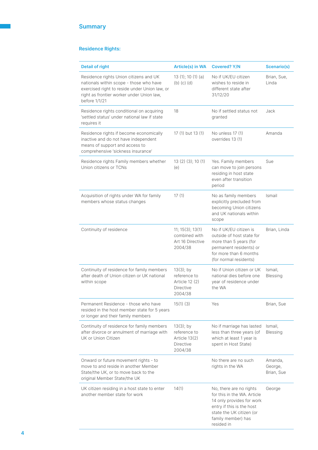# Residence Rights:

| <b>Detail of right</b>                                                                                                                                                                           | <b>Article(s) in WA</b>                                                              | <b>Covered? Y/N</b>                                                                                                                                                              | <b>Scenario(s)</b>               |
|--------------------------------------------------------------------------------------------------------------------------------------------------------------------------------------------------|--------------------------------------------------------------------------------------|----------------------------------------------------------------------------------------------------------------------------------------------------------------------------------|----------------------------------|
| Residence rights Union citizens and UK<br>nationals within scope - those who have<br>exercised right to reside under Union law, or<br>right as frontier worker under Union law,<br>before 1/1/21 | 13 $(1)$ ; 10 $(1)$ $(a)$<br>$(b)$ $(c)$ $(d)$                                       | No if UK/EU citizen<br>wishes to reside in<br>different state after<br>31/12/20                                                                                                  | Brian, Sue,<br>Linda             |
| Residence rights conditional on acquiring<br>'settled status' under national law if state<br>requires it                                                                                         | 18                                                                                   | No if settled status not<br>granted                                                                                                                                              | Jack                             |
| Residence rights if become economically<br>inactive and do not have independent<br>means of support and access to<br>comprehensive 'sickness insurance'                                          | 17 (1) but 13 (1)                                                                    | No unless 17 (1)<br>overrides 13 (1)                                                                                                                                             | Amanda                           |
| Residence rights Family members whether<br>Union citizens or TCNs                                                                                                                                | 13 (2) (3); 10 (1)<br>(e)                                                            | Yes. Family members<br>can move to join persons<br>residing in host state<br>even after transition<br>period                                                                     | Sue                              |
| Acquisition of rights under WA for family<br>members whose status changes                                                                                                                        | 17(1)                                                                                | No as family members<br>explicitly precluded from<br>becoming Union citizens<br>and UK nationals within<br>scope                                                                 | Ismail                           |
| Continuity of residence                                                                                                                                                                          | 11; 15(3); 13(1)<br>combined with<br>Art 16 Directive<br>2004/38                     | No if UK/EU citizen is<br>outside of host state for<br>more than 5 years (for<br>permanent residents) or<br>for more than 6 months<br>(for normal residents)                     | Brian, Linda                     |
| Continuity of residence for family members<br>after death of Union citizen or UK national<br>within scope                                                                                        | $13(3)$ ; by<br>reference to<br><b>Article 12 (2)</b><br><b>Directive</b><br>2004/38 | No if Union citizen or UK<br>national dies before one<br>vear of residence under<br>the WA                                                                                       | Ismail,<br>Blessing              |
| Permanent Residence - those who have<br>resided in the host member state for 5 years<br>or longer and their family members                                                                       | 15(1)(3)                                                                             | Yes                                                                                                                                                                              | Brian, Sue                       |
| Continuity of residence for family members<br>after divorce or annulment of marriage with<br>UK or Union Citizen                                                                                 | $13(3)$ ; by<br>reference to<br>Article $13(2)$<br><b>Directive</b><br>2004/38       | No if marriage has lasted<br>less than three years (of<br>which at least 1 year is<br>spent in Host State)                                                                       | Ismail,<br><b>Blessing</b>       |
| Onward or future movement rights - to<br>move to and reside in another Member<br>State/the UK, or to move back to the<br>original Member State/the UK                                            |                                                                                      | No there are no such<br>rights in the WA                                                                                                                                         | Amanda,<br>George,<br>Brian, Sue |
| UK citizen residing in a host state to enter<br>another member state for work                                                                                                                    | 14(1)                                                                                | No, there are no rights<br>for this in the WA. Article<br>14 only provides for work<br>entry if this is the host<br>state the UK citizen (or<br>family member) has<br>resided in | George                           |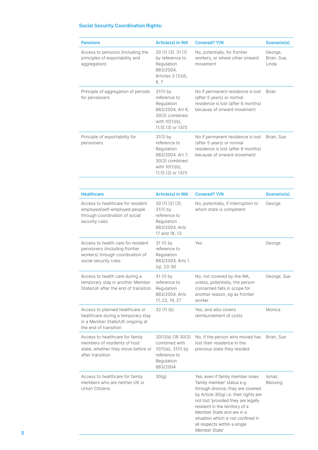#### Social Security Coordination Rights:

| <b>Pensions</b>                                                                      | Article(s) in WA                                                                                                              | <b>Covered? Y/N</b>                                                                                                                | <b>Scenario(s)</b>              |
|--------------------------------------------------------------------------------------|-------------------------------------------------------------------------------------------------------------------------------|------------------------------------------------------------------------------------------------------------------------------------|---------------------------------|
| Access to pensions (including the<br>principles of exportability and<br>aggregation) | 30(1)(3); 31(1)<br>by reference to<br>Regulation<br>883/2004,<br>Articles $3(1)(d)$ ,<br>6, 7                                 | No, potentially, for frontier<br>workers, or where other onward<br>movement                                                        | George,<br>Brian, Sue,<br>Linda |
| Principle of aggregation of periods<br>for pensioners                                | $31(1)$ by<br>reference to<br>Regulation<br>883/2004, Art 6;<br>30(3) combined<br>with $10(1)(b)$ ,<br>$11,15$ (3) or $13(1)$ | No if permanent residence is lost<br>(after 5 years) or normal<br>residence is lost (after 6 months)<br>because of onward movement | <b>Brian</b>                    |
| Principle of exportability for<br>pensioners                                         | $31(1)$ by<br>reference to<br>Regulation<br>883/2004, Art 7;<br>30(3) combined<br>with $10(1)(b)$ ,<br>11,15 (3) or 13(1)     | No if permanent residence is lost<br>(after 5 years) or normal<br>residence is lost (after 6 months)<br>because of onward movement | Brian, Sue                      |

| <b>Healthcare</b>                                                                                                                 | Article(s) in WA                                                                                            | <b>Covered? Y/N</b>                                                                                                                                                                                                                                                                                                                         | <b>Scenario(s)</b>         |
|-----------------------------------------------------------------------------------------------------------------------------------|-------------------------------------------------------------------------------------------------------------|---------------------------------------------------------------------------------------------------------------------------------------------------------------------------------------------------------------------------------------------------------------------------------------------------------------------------------------------|----------------------------|
| Access to healthcare for resident<br>employed/self-employed people<br>through coordination of social<br>security rules            | 30(1)(2)(3);<br>$31(1)$ by<br>reference to<br>Regulation<br>883/2004, Arts<br>17 and 18; 13                 | No, potentially, if interruption to<br>which state is competent                                                                                                                                                                                                                                                                             | George                     |
| Access to health care for resident<br>pensioners (including frontier<br>workers) through coordination of<br>social security rules | 31 (1) by<br>reference to<br>Regulation<br>883/2004, Arts 1<br>$(q)$ , 23-30                                | Yes                                                                                                                                                                                                                                                                                                                                         | George                     |
| Access to health care during a<br>temporary stay in another Member<br>State/UK after the end of transition                        | $31(1)$ by<br>reference to<br>Regulation<br>883/2004, Arts<br>17, 22, 19, 27                                | No, not covered by the WA,<br>unless, potentially, the person<br>concerned falls in scope for<br>another reason, eg as frontier<br>worker                                                                                                                                                                                                   | George, Sue                |
| Access to planned healthcare or<br>healthcare during a temporary stay<br>in a Member State/UK ongoing at<br>the end of transition | 32(1)(b)                                                                                                    | Yes, and also covers<br>reimbursement of costs                                                                                                                                                                                                                                                                                              | Monica                     |
| Access to healthcare for family<br>members of residents of host<br>state, whether they move before or<br>after transition         | $30(1)(b)$ OR $30(3)$<br>combined with<br>$10(1)(e)$ , $31(1)$ by<br>reference to<br>Regulation<br>883/2004 | No, if the person who moved has<br>lost their residence in the<br>previous state they resided                                                                                                                                                                                                                                               | Brian, Sue                 |
| Access to healthcare for family<br>members who are neither UK or<br>Union Citizens                                                | 30(g)                                                                                                       | Yes, even if family member loses<br>'family member' status e.g.<br>through divorce, they are covered<br>by Article 30(g) i.e. their rights are<br>not lost 'provided they are legally<br>resident in the territory of a<br>Member State and are in a<br>situation which is not confined in<br>all respects within a single<br>Member State' | Ismail,<br><b>Blessing</b> |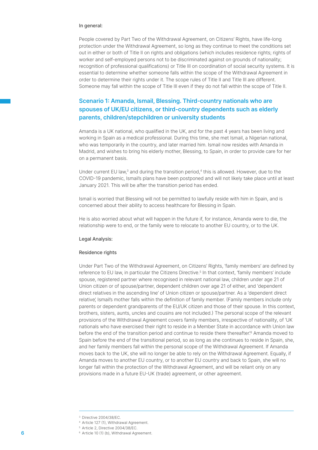#### In general:

People covered by Part Two of the Withdrawal Agreement, on Citizens' Rights, have life-long protection under the Withdrawal Agreement, so long as they continue to meet the conditions set out in either or both of Title II on rights and obligations (which includes residence rights; rights of worker and self-employed persons not to be discriminated against on grounds of nationality; recognition of professional qualifications) or Title III on coordination of social security systems. It is essential to determine whether someone falls within the scope of the Withdrawal Agreement in order to determine their rights under it. The scope rules of Title II and Title III are different. Someone may fall within the scope of Title III even if they do not fall within the scope of Title II.

# Scenario 1: Amanda, Ismail, Blessing. Third-country nationals who are spouses of UK/EU citizens, or third-country dependents such as elderly parents, children/stepchildren or university students

Amanda is a UK national, who qualified in the UK, and for the past 4 years has been living and working in Spain as a medical professional. During this time, she met Ismail, a Nigerian national, who was temporarily in the country, and later married him. Ismail now resides with Amanda in Madrid, and wishes to bring his elderly mother, Blessing, to Spain, in order to provide care for her on a permanent basis.

Under current EU law, $3$  and during the transition period, $4$  this is allowed. However, due to the COVID-19 pandemic, Ismail's plans have been postponed and will not likely take place until at least January 2021. This will be after the transition period has ended.

Ismail is worried that Blessing will not be permitted to lawfully reside with him in Spain, and is concerned about their ability to access healthcare for Blessing in Spain.

He is also worried about what will happen in the future if, for instance, Amanda were to die, the relationship were to end, or the family were to relocate to another EU country, or to the UK.

#### Legal Analysis:

#### Residence rights

Under Part Two of the Withdrawal Agreement, on Citizens' Rights, 'family members' are defined by reference to EU law, in particular the Citizens Directive.<sup>5</sup> In that context, 'family members' include spouse, registered partner where recognised in relevant national law, children under age 21 of Union citizen or of spouse/partner, dependent children over age 21 of either, and 'dependent direct relatives in the ascending line' of Union citizen or spouse/partner. As a 'dependent direct relative', Ismail's mother falls within the definition of family member. (Family members include only parents or dependent grandparents of the EU/UK citizen and those of their spouse. In this context, brothers, sisters, aunts, uncles and cousins are not included.) The personal scope of the relevant provisions of the Withdrawal Agreement covers family members, irrespective of nationality, of 'UK nationals who have exercised their right to reside in a Member State in accordance with Union law before the end of the transition period and continue to reside there thereafter.<sup>6</sup> Amanda moved to Spain before the end of the transitional period, so as long as she continues to reside in Spain, she, and her family members fall within the personal scope of the Withdrawal Agreement. If Amanda moves back to the UK, she will no longer be able to rely on the Withdrawal Agreement. Equally, if Amanda moves to another EU country, or to another EU country and back to Spain, she will no longer fall within the protection of the Withdrawal Agreement, and will be reliant only on any provisions made in a future EU-UK (trade) agreement, or other agreement.

<sup>3</sup> Directive 2004/38/EC.

<sup>4</sup> Article 127 (1), Withdrawal Agreement.

<sup>5</sup> Article 2, Directive 2004/38/EC.

<sup>6</sup> 6 Article 10 (1) (b), Withdrawal Agreement.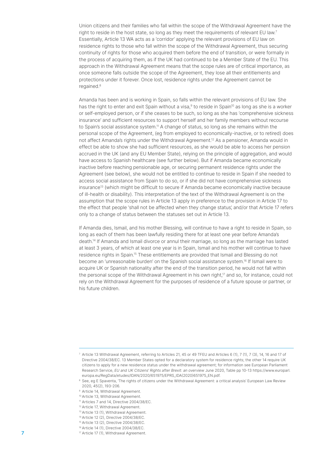Union citizens and their families who fall within the scope of the Withdrawal Agreement have the right to reside in the host state, so long as they meet the requirements of relevant EU law.<sup>7</sup> Essentially, Article 13 WA acts as a 'corridor' applying the relevant provisions of EU law on residence rights to those who fall within the scope of the Withdrawal Agreement, thus securing continuity of rights for those who acquired them before the end of transition, or were formally in the process of acquiring them, as if the UK had continued to be a Member State of the EU. This approach in the Withdrawal Agreement means that the scope rules are of critical importance, as once someone falls outside the scope of the Agreement, they lose all their entitlements and protections under it forever. Once lost, residence rights under the Agreement cannot be regained.8

Amanda has been and is working in Spain, so falls within the relevant provisions of EU law. She has the right to enter and exit Spain without a visa,<sup>9</sup> to reside in Spain<sup>10</sup> as long as she is a worker or self-employed person, or if she ceases to be such, so long as she has 'comprehensive sickness insurance' and sufficient resources to support herself and her family members without recourse to Spain's social assistance system.<sup>11</sup> A change of status, so long as she remains within the personal scope of the Agreement, (eg from employed to economically-inactive, or to retired) does not affect Amanda's rights under the Withdrawal Agreement.12 As a pensioner, Amanda would in effect be able to show she had sufficient resources, as she would be able to access her pension accrued in the UK (and any EU Member State), relying on the principle of aggregation, and would have access to Spanish healthcare (see further below). But if Amanda became economically inactive before reaching pensionable age, or securing permanent residence rights under the Agreement (see below), she would not be entitled to continue to reside in Spain if she needed to access social assistance from Spain to do so, or if she did not have comprehensive sickness insurance13 (which might be difficult to secure if Amanda became economically inactive because of ill-health or disability). This interpretation of the text of the Withdrawal Agreement is on the assumption that the scope rules in Article 13 apply in preference to the provision in Article 17 to the effect that people 'shall not be affected when they change status', and/or that Article 17 refers only to a change of status between the statuses set out in Article 13.

If Amanda dies, Ismail, and his mother Blessing, will continue to have a right to reside in Spain, so long as each of them has been lawfully residing there for at least one year before Amanda's death.14 If Amanda and Ismail divorce or annul their marriage, so long as the marriage has lasted at least 3 years, of which at least one year is in Spain, Ismail and his mother will continue to have residence rights in Spain.<sup>15</sup> These entitlements are provided that Ismail and Blessing do not become an 'unreasonable burden' on the Spanish social assistance system.16 If Ismail were to acquire UK or Spanish nationality after the end of the transition period, he would not fall within the personal scope of the Withdrawal Agreement in his own right,<sup>17</sup> and so, for instance, could not rely on the Withdrawal Agreement for the purposes of residence of a future spouse or partner, or his future children.

- <sup>13</sup> Article 13 (1), Withdrawal Agreement.
- <sup>14</sup> Article 12 (2), Directive 2004/38/EC.
- <sup>15</sup> Article 13 (2), Directive 2004/38/EC.
- <sup>16</sup> Article 14 (1), Directive 2004/38/EC.
- 7 **17 Article 17 (1), Withdrawal Agreement.**

<sup>7</sup> Article 13 Withdrawal Agreement, referring to Articles 21, 45 or 49 TFEU and Articles 6 (1), 7 (1), 7 (3), 14, 16 and 17 of Directive 2004/38/EC. 13 Member States opted for a declaratory system for residence rights; the other 14 require UK citizens to apply for a new residence status under the withdrawal agreement; for information see European Parliament Research Service, EU and UK Citizens' Rights after Brexit: an overview June 2020, Table pp 10-13 https://www.europarl. europa.eu/RegData/etudes/IDAN/2020/651975/EPRS\_IDA(2020)651975\_EN.pdf.

<sup>&</sup>lt;sup>8</sup> See, eg E Spaventa, 'The rights of citizens under the Withdrawal Agreement: a critical analysis' European Law Review 2020, 45(2), 193-206.

<sup>9</sup> Article 14, Withdrawal Agreement.

<sup>10</sup> Article 13, Withdrawal Agreement.

<sup>&</sup>lt;sup>11</sup> Articles 7 and 14, Directive 2004/38/EC.

<sup>12</sup> Article 17, Withdrawal Agreement.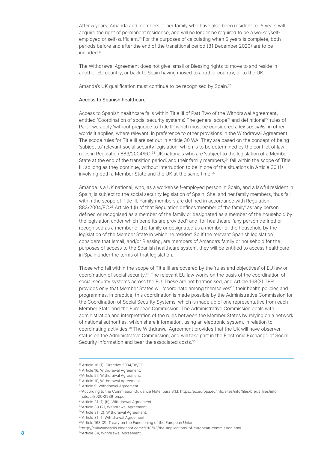After 5 years, Amanda and members of her family who have also been resident for 5 years will acquire the right of permanent residence, and will no longer be required to be a worker/selfemployed or self-sufficient<sup>18</sup> For the purposes of calculating when 5 years is complete, both periods before and after the end of the transitional period (31 December 2020) are to be included.19

The Withdrawal Agreement does not give Ismail or Blessing rights to move to and reside in another EU country, or back to Spain having moved to another country, or to the UK.

Amanda's UK qualification must continue to be recognised by Spain.<sup>20</sup>

#### Access to Spanish healthcare

Access to Spanish healthcare falls within Title III of Part Two of the Withdrawal Agreement, entitled 'Coordination of social security systems'. The general scope<sup>21</sup> and definitional<sup>22</sup> rules of Part Two apply 'without prejudice to Title III' which must be considered a lex specialis, in other words it applies, where relevant, in preference to other provisions in the Withdrawal Agreement. The scope rules for Title III are set out in Article 30 WA. They are based on the concept of being 'subject to' relevant social security legislation, which is to be determined by the conflict of law rules in Requlation 883/2004/EC.<sup>23</sup> UK nationals who are 'subject to the legislation of a Member State at the end of the transition period', and their family members,<sup>24</sup> fall within the scope of Title III, so long as they continue, without interruption to be in one of the situations in Article 30 (1) involving both a Member State and the UK at the same time.<sup>25</sup>

Amanda is a UK national, who, as a worker/self-employed person in Spain, and a lawful resident in Spain, is subject to the social security legislation of Spain. She, and her family members, thus fall within the scope of Title III. Family members are defined in accordance with Regulation 883/2004/EC.<sup>26</sup> Article 1 (i) of that Regulation defines 'member of the family' as 'any person defined or recognised as a member of the family or designated as a member of the household by the legislation under which benefits are provided'; and, for healthcare, 'any person defined or recognised as a member of the family or designated as a member of the household by the legislation of the Member State in which he resides'. So if the relevant Spanish legislation considers that Ismail, and/or Blessing, are members of Amanda's family or household for the purposes of access to the Spanish healthcare system, they will be entitled to access healthcare in Spain under the terms of that legislation.

Those who fall within the scope of Title III are covered by the 'rules and objectives' of EU law on coordination of social security.27 The relevant EU law works on the basis of the coordination of social security systems across the EU. These are not harmonised, and Article 168(2) TFEU provides only that Member States will 'coordinate among themselves'<sup>28</sup> their health policies and programmes. In practice, this coordination is made possible by the Administrative Commission for the Coordination of Social Security Systems, which is made up of one representative from each Member State and the European Commission. The Administrative Commission deals with administration and interpretation of the rules between the Member States by relying on a network of national authorities, which share information, using an electronic system, in relation to coordinating activities.29 The Withdrawal Agreement provides that the UK will have observer status on the Administrative Commission, and will take part in the Electronic Exchange of Social Security Information and bear the associated costs.<sup>30</sup>

<sup>18</sup> Article 16 (1), Directive 2004/38/EC.

<sup>19</sup> Article 16, Withdrawal Agreement.

<sup>20</sup>Article 27, Withdrawal Agreement.

<sup>21</sup> Article 10, Withdrawal Agreement.

<sup>22</sup>Article 9, Withdrawal Agreement.

<sup>&</sup>lt;sup>23</sup>According to the Commission Guidance Note, para 3.1.1, https://ec.europa.eu/info/sites/info/files/brexit\_files/info\_  $site/c-2020-2939$  en.pdf.

<sup>&</sup>lt;sup>24</sup> Article 31 (1) (b), Withdrawal Agreement.

<sup>25</sup>Article 30 (2), Withdrawal Agreement.

<sup>26</sup>Article 31 (2), Withdrawal Agreement.

<sup>27</sup>Article 31 (1),Withdrawal Agreement.

<sup>28</sup>Article 168 (2), Treaty on the Functioning of the European Union

<sup>29</sup> http://eulawanalysis.blogspot.com/2018/03/the-implications-of-european-commission.html

<sup>8 3</sup>º Article 34, Withdrawal Agreement.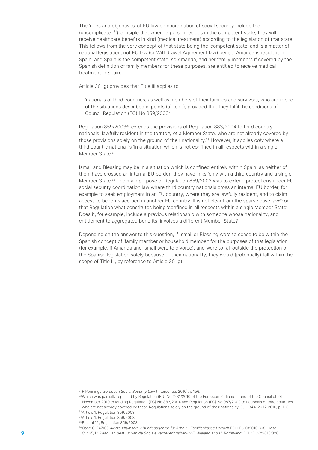The 'rules and objectives' of EU law on coordination of social security include the (uncomplicated<sup>31</sup>) principle that where a person resides in the competent state, they will receive healthcare benefits in kind (medical treatment) according to the legislation of that state. This follows from the very concept of that state being the 'competent state', and is a matter of national legislation, not EU law (or Withdrawal Agreement law) per se. Amanda is resident in Spain, and Spain is the competent state, so Amanda, and her family members if covered by the Spanish definition of family members for these purposes, are entitled to receive medical treatment in Spain.

Article 30 (g) provides that Title III applies to

'nationals of third countries, as well as members of their families and survivors, who are in one of the situations described in points (a) to (e), provided that they fulfil the conditions of Council Regulation (EC) No 859/2003.'

Regulation 859/200332 extends the provisions of Regulation 883/2004 to third country nationals, lawfully resident in the territory of a Member State, who are not already covered by those provisions solely on the ground of their nationality.<sup>33</sup> However, it applies only where a third country national is 'in a situation which is not confined in all respects within a single Member State<sup>'34</sup>

Ismail and Blessing may be in a situation which is confined entirely within Spain, as neither of them have crossed an internal EU border: they have links 'only with a third country and a single Member State<sup>'35</sup> The main purpose of Regulation 859/2003 was to extend protections under EU social security coordination law where third country nationals cross an internal EU border, for example to seek employment in an EU country, where they are lawfully resident, and to claim access to benefits accrued in another EU country. It is not clear from the sparse case law<sup>36</sup> on that Regulation what constitutes being 'confined in all respects within a single Member State'. Does it, for example, include a previous relationship with someone whose nationality, and entitlement to aggregated benefits, involves a different Member State?

Depending on the answer to this question, if Ismail or Blessing were to cease to be within the Spanish concept of 'family member or household member' for the purposes of that legislation (for example, if Amanda and Ismail were to divorce), and were to fall outside the protection of the Spanish legislation solely because of their nationality, they would (potentially) fall within the scope of Title III, by reference to Article 30 (g).

<sup>&</sup>lt;sup>31</sup> F Pennings, European Social Security Law (Intersentia, 2010), p 156.

<sup>32</sup>Which was partially repealed by Regulation (EU) No 1231/2010 of the European Parliament and of the Council of 24 November 2010 extending Regulation (EC) No 883/2004 and Regulation (EC) No 987/2009 to nationals of third countries who are not already covered by these Regulations solely on the ground of their nationality OJ L 344, 29.12.2010, p. 1–3. <sup>33</sup>Article 1, Regulation 859/2003.

<sup>34</sup>Article 1, Regulation 859/2003.

<sup>35</sup> Recital 12, Regulation 859/2003.

<sup>36</sup>Case C-247/09 Alketa Xhymshiti v Bundesagentur für Arbeit - Familienkasse Lörrach ECLI:EU:C:2010:698; Case C-465/14 Raad van bestuur van de Sociale verzekeringsbank v F. Wieland and H. Rothwangl ECLI:EU:C:2016:820.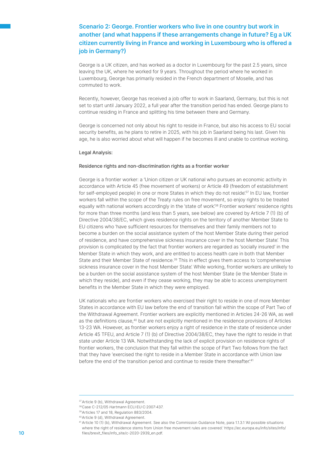# Scenario 2: George. Frontier workers who live in one country but work in another (and what happens if these arrangements change in future? Eg a UK citizen currently living in France and working in Luxembourg who is offered a job in Germany?)

George is a UK citizen, and has worked as a doctor in Luxembourg for the past 2.5 years, since leaving the UK, where he worked for 9 years. Throughout the period where he worked in Luxembourg, George has primarily resided in the French department of Moselle, and has commuted to work.

Recently, however, George has received a job offer to work in Saarland, Germany, but this is not set to start until January 2022, a full year after the transition period has ended. George plans to continue residing in France and splitting his time between there and Germany.

George is concerned not only about his right to reside in France, but also his access to EU social security benefits, as he plans to retire in 2025, with his job in Saarland being his last. Given his age, he is also worried about what will happen if he becomes ill and unable to continue working.

#### Legal Analysis:

#### Residence rights and non-discrimination rights as a frontier worker

George is a frontier worker: a 'Union citizen or UK national who pursues an economic activity in accordance with Article 45 (free movement of workers) or Article 49 (freedom of establishment for self-employed people) in one or more States in which they do not reside.<sup>37</sup> In EU law, frontier workers fall within the scope of the Treaty rules on free movement, so enjoy rights to be treated equally with national workers accordingly in the 'state of work'.<sup>38</sup> Frontier workers' residence rights for more than three months (and less than 5 years, see below) are covered by Article 7 (1) (b) of Directive 2004/38/EC, which gives residence rights on the territory of another Member State to EU citizens who 'have sufficient resources for themselves and their family members not to become a burden on the social assistance system of the host Member State during their period of residence, and have comprehensive sickness insurance cover in the host Member State'. This provision is complicated by the fact that frontier workers are regarded as 'socially insured' in the Member State in which they work, and are entitled to access health care in both that Member State and their Member State of residence.39 This in effect gives them access to 'comprehensive sickness insurance cover in the host Member State'. While working, frontier workers are unlikely to be a burden on the social assistance system of the host Member State (ie the Member State in which they reside), and even if they cease working, they may be able to access unemployment benefits in the Member State in which they were employed.

UK nationals who are frontier workers who exercised their right to reside in one of more Member States in accordance with EU law before the end of transition fall within the scope of Part Two of the Withdrawal Agreement. Frontier workers are explicitly mentioned in Articles 24-26 WA, as well as the definitions clause,40 but are not explicitly mentioned in the residence provisions of Articles 13-23 WA. However, as frontier workers enjoy a right of residence in the state of residence under Article 45 TFEU, and Article 7 (1) (b) of Directive 2004/38/EC, they have the right to reside in that state under Article 13 WA. Notwithstanding the lack of explicit provision on residence rights of frontier workers, the conclusion that they fall within the scope of Part Two follows from the fact that they have 'exercised the right to reside in a Member State in accordance with Union law before the end of the transition period and continue to reside there thereafter.<sup>41</sup>

<sup>37</sup>Article 9 (b), Withdrawal Agreement.

<sup>38</sup>Case C-212/05 Hartmann ECLI:EU:C:2007:437.

<sup>39</sup>Articles 17 and 18, Regulation 883/2004.

<sup>40</sup>Article 9 (d), Withdrawal Agreement.

<sup>41</sup> Article 10 (1) (b), Withdrawal Agreement. See also the Commission Guidance Note, para 1.1.3.1 'All possible situations where the right of residence stems from Union free movement rules are covered.' https://ec.europa.eu/info/sites/info/ 10 files/brexit\_files/info\_site/c-2020-2939\_en.pdf.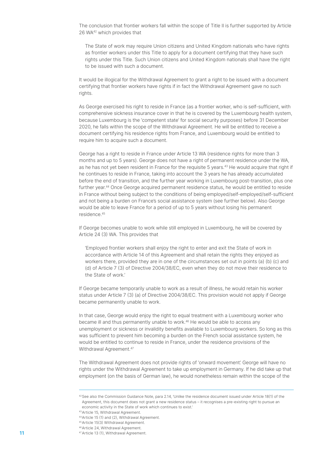The conclusion that frontier workers fall within the scope of Title II is further supported by Article 26 WA42 which provides that

The State of work may require Union citizens and United Kingdom nationals who have rights as frontier workers under this Title to apply for a document certifying that they have such rights under this Title. Such Union citizens and United Kingdom nationals shall have the right to be issued with such a document.

It would be illogical for the Withdrawal Agreement to grant a right to be issued with a document certifying that frontier workers have rights if in fact the Withdrawal Agreement gave no such rights.

As George exercised his right to reside in France (as a frontier worker, who is self-sufficient, with comprehensive sickness insurance cover in that he is covered by the Luxembourg health system, because Luxembourg is the 'competent state' for social security purposes) before 31 December 2020, he falls within the scope of the Withdrawal Agreement. He will be entitled to receive a document certifying his residence rights from France, and Luxembourg would be entitled to require him to acquire such a document.

George has a right to reside in France under Article 13 WA (residence rights for more than 3 months and up to 5 years). George does not have a right of permanent residence under the WA, as he has not yet been resident in France for the requisite 5 years.43 He would acquire that right if he continues to reside in France, taking into account the 3 years he has already accumulated before the end of transition, and the further year working in Luxembourg post-transition, plus one further year.44 Once George acquired permanent residence status, he would be entitled to reside in France without being subject to the conditions of being employed/self-employed/self-sufficient and not being a burden on France's social assistance system (see further below). Also George would be able to leave France for a period of up to 5 years without losing his permanent residence.<sup>45</sup>

If George becomes unable to work while still employed in Luxembourg, he will be covered by Article 24 (3) WA. This provides that

'Employed frontier workers shall enjoy the right to enter and exit the State of work in accordance with Article 14 of this Agreement and shall retain the rights they enjoyed as workers there, provided they are in one of the circumstances set out in points (a) (b) (c) and (d) of Article 7 (3) of Directive 2004/38/EC, even when they do not move their residence to the State of work.'

If George became temporarily unable to work as a result of illness, he would retain his worker status under Article 7 (3) (a) of Directive 2004/38/EC. This provision would not apply if George became permanently unable to work.

In that case, George would enjoy the right to equal treatment with a Luxembourg worker who became ill and thus permanently unable to work.<sup>46</sup> He would be able to access any unemployment or sickness or invalidity benefits available to Luxembourg workers. So long as this was sufficient to prevent him becoming a burden on the French social assistance system, he would be entitled to continue to reside in France, under the residence provisions of the Withdrawal Agreement.<sup>47</sup>

The Withdrawal Agreement does not provide rights of 'onward movement'. George will have no rights under the Withdrawal Agreement to take up employment in Germany. If he did take up that employment (on the basis of German law), he would nonetheless remain within the scope of the

<sup>42</sup>See also the Commission Guidance Note, para 2.14, 'Unlike the residence document issued under Article 18(1) of the Agreement, this document does not grant a new residence status – it recognises a pre-existing right to pursue an economic activity in the State of work which continues to exist.'

<sup>43</sup>Article 15, Withdrawal Agreement.

<sup>44</sup>Article 15 (1) and (2), Withdrawal Agreement.

<sup>45</sup>Article 15(3) Withdrawal Agreement.

<sup>46</sup>Article 24, Withdrawal Agreement.

<sup>11</sup> **11** Article 13 (1), Withdrawal Agreement.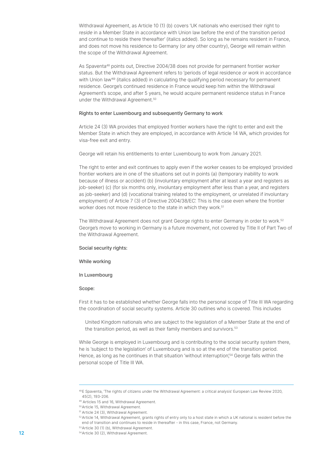Withdrawal Agreement, as Article 10 (1) (b) covers 'UK nationals who exercised their right to reside in a Member State in accordance with Union law before the end of the transition period and continue to reside there thereafter' (italics added). So long as he remains resident in France, and does not move his residence to Germany (or any other country), George will remain within the scope of the Withdrawal Agreement.

As Spaventa48 points out, Directive 2004/38 does not provide for permanent frontier worker status. But the Withdrawal Agreement refers to 'periods of legal residence or work in accordance with Union law<sup>49</sup> (italics added) in calculating the qualifying period necessary for permanent residence. George's continued residence in France would keep him within the Withdrawal Agreement's scope, and after 5 years, he would acquire permanent residence status in France under the Withdrawal Agreement.<sup>50</sup>

#### Rights to enter Luxembourg and subsequently Germany to work

Article 24 (3) WA provides that employed frontier workers have the right to enter and exit the Member State in which they are employed, in accordance with Article 14 WA, which provides for visa-free exit and entry.

George will retain his entitlements to enter Luxembourg to work from January 2021.

The right to enter and exit continues to apply even if the worker ceases to be employed 'provided frontier workers are in one of the situations set out in points (a) (temporary inability to work because of illness or accident) (b) (involuntary employment after at least a year and registers as job-seeker) (c) (for six months only, involuntary employment after less than a year, and registers as job-seeker) and (d) (vocational training related to the employment, or unrelated if involuntary employment) of Article 7 (3) of Directive 2004/38/EC'. This is the case even where the frontier worker does not move residence to the state in which they work.<sup>51</sup>

The Withdrawal Agreement does not grant George rights to enter Germany in order to work.<sup>52</sup> George's move to working in Germany is a future movement, not covered by Title II of Part Two of the Withdrawal Agreement.

#### Social security rights:

#### While working

#### In Luxembourg

#### Scope:

First it has to be established whether George falls into the personal scope of Title III WA regarding the coordination of social security systems. Article 30 outlines who is covered. This includes

United Kingdom nationals who are subject to the legislation of a Member State at the end of the transition period, as well as their family members and survivors.<sup>53</sup>

While George is employed in Luxembourg and is contributing to the social security system there, he is 'subject to the legislation' of Luxembourg and is so at the end of the transition period. Hence, as long as he continues in that situation 'without interruption'<sup>54</sup> George falls within the personal scope of Title III WA.

<sup>48</sup>E Spaventa, 'The rights of citizens under the Withdrawal Agreement: a critical analysis' European Law Review 2020, 45(2), 193-206.

<sup>49</sup> Articles 15 and 16, Withdrawal Agreement.

<sup>50</sup>Article 15, Withdrawal Agreement.

<sup>51</sup> Article 24 (3), Withdrawal Agreement.

<sup>52</sup> Article 14, Withdrawal Agreement, grants rights of entry only to a host state in which a UK national is resident before the end of transition and continues to reside in thereafter - in this case, France, not Germany.

<sup>53</sup>Article 30 (1) (b), Withdrawal Agreement.

<sup>54</sup> 12 Article 30 (2), Withdrawal Agreement.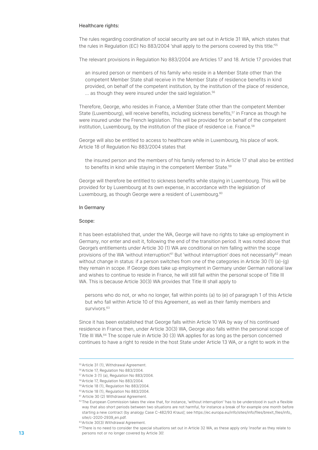#### Healthcare rights:

The rules regarding coordination of social security are set out in Article 31 WA, which states that the rules in Regulation (EC) No 883/2004 'shall apply to the persons covered by this title.'<sup>55</sup>

The relevant provisions in Regulation No 883/2004 are Articles 17 and 18. Article 17 provides that

an insured person or members of his family who reside in a Member State other than the competent Member State shall receive in the Member State of residence benefits in kind provided, on behalf of the competent institution, by the institution of the place of residence,  $\ldots$  as though they were insured under the said legislation.<sup>56</sup>

Therefore, George, who resides in France, a Member State other than the competent Member State (Luxembourg), will receive benefits, including sickness benefits,<sup>57</sup> in France as though he were insured under the French legislation. This will be provided for on behalf of the competent institution, Luxembourg, by the institution of the place of residence i.e. France.<sup>58</sup>

George will also be entitled to access to healthcare while in Luxembourg, his place of work. Article 18 of Regulation No 883/2004 states that

the insured person and the members of his family referred to in Article 17 shall also be entitled to benefits in kind while staying in the competent Member State.<sup>59</sup>

George will therefore be entitled to sickness benefits while staying in Luxembourg. This will be provided for by Luxembourg at its own expense, in accordance with the legislation of Luxembourg, as though George were a resident of Luxembourg.<sup>60</sup>

#### In Germany

#### Scope:

It has been established that, under the WA, George will have no rights to take up employment in Germany, nor enter and exit it, following the end of the transition period. It was noted above that George's entitlements under Article 30 (1) WA are conditional on him falling within the scope provisions of the WA 'without interruption'.<sup>61</sup> But 'without interruption' does not necessarily<sup>62</sup> mean without change in status: if a person switches from one of the categories in Article 30 (1) (a)-(g) they remain in scope. If George does take up employment in Germany under German national law and wishes to continue to reside in France, he will still fall within the personal scope of Title III WA. This is because Article 30(3) WA provides that Title III shall apply to

persons who do not, or who no longer, fall within points (a) to (e) of paragraph 1 of this Article but who fall within Article 10 of this Agreement, as well as their family members and survivors.<sup>63</sup>

Since it has been established that George falls within Article 10 WA by way of his continued residence in France then, under Article 30(3) WA, George also falls within the personal scope of Title III WA.64 The scope rule in Article 30 (3) WA applies for as long as the person concerned continues to have a right to reside in the host State under Article 13 WA, or a right to work in the

<sup>55</sup>Article 31 (1), Withdrawal Agreement.

<sup>56</sup>Article 17, Regulation No 883/2004.

<sup>57</sup>Article 3 (1) (a), Regulation No 883/2004.

<sup>58</sup>Article 17, Regulation No 883/2004.

<sup>59</sup>Article 18 (1), Regulation No 883/2004.

<sup>60</sup>Article 18 (1), Regulation No 883/2004.

<sup>61</sup> Article 30 (2) Withdrawal Agreement.

 $62$ The European Commission takes the view that, for instance, 'without interruption' 'has to be understood in such a flexible way that also short periods between two situations are not harmful, for instance a break of for example one month before starting a new contract (by analogy Case C-482/93 Kraus)', see https://ec.europa.eu/info/sites/info/files/brexit\_files/info\_ site/c-2020-2939\_en.pdf.

<sup>63</sup>Article 30(3) Withdrawal Agreement.

<sup>&</sup>lt;sup>64</sup>There is no need to consider the special situations set out in Article 32 WA, as these apply only 'insofar as they relate to **13 had a persons not or no longer covered by Article 30'.**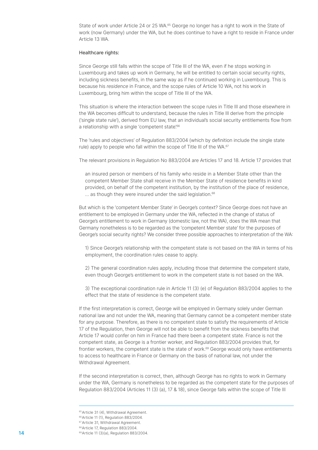State of work under Article 24 or 25 WA.<sup>65</sup> George no longer has a right to work in the State of work (now Germany) under the WA, but he does continue to have a right to reside in France under Article 13 WA.

#### Healthcare rights:

Since George still falls within the scope of Title III of the WA, even if he stops working in Luxembourg and takes up work in Germany, he will be entitled to certain social security rights, including sickness benefits, in the same way as if he continued working in Luxembourg. This is because his residence in France, and the scope rules of Article 10 WA, not his work in Luxembourg, bring him within the scope of Title III of the WA.

This situation is where the interaction between the scope rules in Title III and those elsewhere in the WA becomes difficult to understand, because the rules in Title III derive from the principle ('single state rule'), derived from EU law, that an individual's social security entitlements flow from a relationship with a single 'competent state'.<sup>66</sup>

The 'rules and objectives' of Regulation 883/2004 (which by definition include the single state rule) apply to people who fall within the scope of Title III of the WA.<sup>67</sup>

The relevant provisions in Regulation No 883/2004 are Articles 17 and 18. Article 17 provides that

an insured person or members of his family who reside in a Member State other than the competent Member State shall receive in the Member State of residence benefits in kind provided, on behalf of the competent institution, by the institution of the place of residence, ... as though they were insured under the said legislation.<sup>68</sup>

But which is the 'competent Member State' in George's context? Since George does not have an entitlement to be employed in Germany under the WA, reflected in the change of status of George's entitlement to work in Germany (domestic law, not the WA), does the WA mean that Germany nonetheless is to be regarded as the 'competent Member state' for the purposes of George's social security rights? We consider three possible approaches to interpretation of the WA:

1) Since George's relationship with the competent state is not based on the WA in terms of his employment, the coordination rules cease to apply.

2) The general coordination rules apply, including those that determine the competent state, even though George's entitlement to work in the competent state is not based on the WA.

3) The exceptional coordination rule in Article 11 (3) (e) of Regulation 883/2004 applies to the effect that the state of residence is the competent state.

If the first interpretation is correct, George will be employed in Germany solely under German national law and not under the WA, meaning that Germany cannot be a competent member state for any purpose. Therefore, as there is no competent state to satisfy the requirements of Article 17 of the Regulation, then George will not be able to benefit from the sickness benefits that Article 17 would confer on him in France had there been a competent state. France is not the competent state, as George is a frontier worker, and Regulation 883/2004 provides that, for frontier workers, the competent state is the state of work.<sup>69</sup> George would only have entitlements to access to healthcare in France or Germany on the basis of national law, not under the Withdrawal Agreement.

If the second interpretation is correct, then, although George has no rights to work in Germany under the WA, Germany is nonetheless to be regarded as the competent state for the purposes of Regulation 883/2004 (Articles 11 (3) (a), 17 & 18), since George falls within the scope of Title III

<sup>65</sup>Article 31 (4), Withdrawal Agreement.

<sup>66</sup>Article 11 (1), Regulation 883/2004.

<sup>67</sup>Article 31, Withdrawal Agreement.

<sup>68</sup>Article 17, Regulation 883/2004.

<sup>69</sup> 14 Article 11 (3)(a), Regulation 883/2004.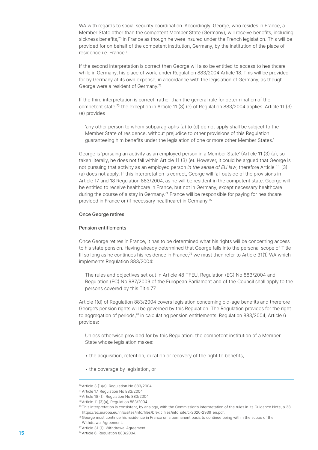WA with regards to social security coordination. Accordingly, George, who resides in France, a Member State other than the competent Member State (Germany), will receive benefits, including sickness benefits,<sup>70</sup> in France as though he were insured under the French legislation. This will be provided for on behalf of the competent institution, Germany, by the institution of the place of residence i.e. France.71

If the second interpretation is correct then George will also be entitled to access to healthcare while in Germany, his place of work, under Regulation 883/2004 Article 18. This will be provided for by Germany at its own expense, in accordance with the legislation of Germany, as though George were a resident of Germany.<sup>72</sup>

If the third interpretation is correct, rather than the general rule for determination of the competent state,73 the exception in Article 11 (3) (e) of Regulation 883/2004 applies. Article 11 (3) (e) provides

'any other person to whom subparagraphs (a) to (d) do not apply shall be subject to the Member State of residence, without prejudice to other provisions of this Regulation guaranteeing him benefits under the legislation of one or more other Member States.'

George is 'pursuing an activity as an employed person in a Member State' (Article 11 (3) (a), so taken literally, he does not fall within Article 11 (3) (e). However, it could be argued that George is not pursuing that activity as an employed person in the sense of EU law, therefore Article 11 (3) (a) does not apply. If this interpretation is correct, George will fall outside of the provisions in Article 17 and 18 Regulation 883/2004, as he will be resident in the competent state. George will be entitled to receive healthcare in France, but not in Germany, except necessary healthcare during the course of a stay in Germany.<sup>74</sup> France will be responsible for paying for healthcare provided in France or (if necessary healthcare) in Germany.<sup>75</sup>

#### Once George retires

#### Pension entitlements

Once George retires in France, it has to be determined what his rights will be concerning access to his state pension. Having already determined that George falls into the personal scope of Title III so long as he continues his residence in France, $76$  we must then refer to Article 31(1) WA which implements Regulation 883/2004:

The rules and objectives set out in Article 48 TFEU, Regulation (EC) No 883/2004 and Regulation (EC) No 987/2009 of the European Parliament and of the Council shall apply to the persons covered by this Title.77

Article 1(d) of Regulation 883/2004 covers legislation concerning old-age benefits and therefore George's pension rights will be governed by this Regulation. The Regulation provides for the right to aggregation of periods,<sup>78</sup> in calculating pension entitlements. Regulation 883/2004, Article 6 provides:

Unless otherwise provided for by this Regulation, the competent institution of a Member State whose legislation makes:

- the acquisition, retention, duration or recovery of the right to benefits,
- the coverage by legislation, or

<sup>70</sup>Article 3 (1)(a), Regulation No 883/2004.

<sup>71</sup> Article 17, Regulation No 883/2004.

<sup>72</sup>Article 18 (1), Regulation No 883/2004.

<sup>73</sup>Article 11 (3)(a), Regulation 883/2004.

<sup>75</sup>This interpretation is consistent, by analogy, with the Commission's interpretation of the rules in its Guidance Note, p 38 https://ec.europa.eu/info/sites/info/files/brexit\_files/info\_site/c-2020-2939\_en.pdf.

<sup>76</sup> George must continue his residence in France on a permanent basis to continue being within the scope of the

Withdrawal Agreement.

<sup>77</sup>Article 31 (1), Withdrawal Agreement. **15**  $78$  Article 6, Regulation 883/2004.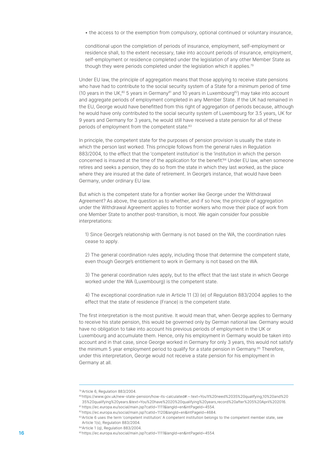• the access to or the exemption from compulsory, optional continued or voluntary insurance,

conditional upon the completion of periods of insurance, employment, self-employment or residence shall, to the extent necessary, take into account periods of insurance, employment, self-employment or residence completed under the legislation of any other Member State as though they were periods completed under the legislation which it applies.79

Under EU law, the principle of aggregation means that those applying to receive state pensions who have had to contribute to the social security system of a State for a minimum period of time (10 years in the UK,<sup>80</sup> 5 years in Germany<sup>81</sup> and 10 years in Luxembourg<sup>82</sup>) may take into account and aggregate periods of employment completed in any Member State. If the UK had remained in the EU, George would have benefitted from this right of aggregation of periods because, although he would have only contributed to the social security system of Luxembourg for 3.5 years, UK for 9 years and Germany for 3 years, he would still have received a state pension for all of these periods of employment from the competent state.<sup>83</sup>

In principle, the competent state for the purposes of pension provision is usually the state in which the person last worked. This principle follows from the general rules in Regulation 883/2004, to the effect that the 'competent institution' is the 'institution in which the person concerned is insured at the time of the application for the benefit'.<sup>84</sup> Under EU law, when someone retires and seeks a pension, they do so from the state in which they last worked, as the place where they are insured at the date of retirement. In George's instance, that would have been Germany, under ordinary EU law.

But which is the competent state for a frontier worker like George under the Withdrawal Agreement? As above, the question as to whether, and if so how, the principle of aggregation under the Withdrawal Agreement applies to frontier workers who move their place of work from one Member State to another post-transition, is moot. We again consider four possible interpretations:

1) Since George's relationship with Germany is not based on the WA, the coordination rules cease to apply.

2) The general coordination rules apply, including those that determine the competent state, even though George's entitlement to work in Germany is not based on the WA.

3) The general coordination rules apply, but to the effect that the last state in which George worked under the WA (Luxembourg) is the competent state.

4) The exceptional coordination rule in Article 11 (3) (e) of Regulation 883/2004 applies to the effect that the state of residence (France) is the competent state.

The first interpretation is the most punitive. It would mean that, when George applies to Germany to receive his state pension, this would be governed only by German national law. Germany would have no obligation to take into account his previous periods of employment in the UK or Luxembourg and accumulate them. Hence, only his employment in Germany would be taken into account and in that case, since George worked in Germany for only 3 years, this would not satisfy the minimum 5 year employment period to qualify for a state pension in Germany.<sup>85</sup> Therefore, under this interpretation, George would not receive a state pension for his employment in Germany at all.

<sup>79</sup>Article 6, Regulation 883/2004.

<sup>80</sup> https://www.gov.uk/new-state-pension/how-its-calculated#:~:text=You'll%20need%2035%20qualifying,10%20and%20 35%20qualifying%20years.&text=You%20have%2020%20qualifying%20years,record%20after%205%20April%202016. <sup>81</sup> https://ec.europa.eu/social/main.jsp?catId=1111&langId=en&intPageId=4554.

<sup>82</sup> https://ec.europa.eu/social/main.jsp?catId=1120&langId=en&intPageId=4684.

<sup>83</sup>Article 6 uses the term 'competent institution'. A competent institution belongs to the competent member state, see Article 1(s), Regulation 883/2004.

<sup>84</sup> Article 1 (q), Regulation 883/2004.

<sup>85</sup> 16 https://ec.europa.eu/social/main.jsp?catId=1111&langId=en&intPageId=4554.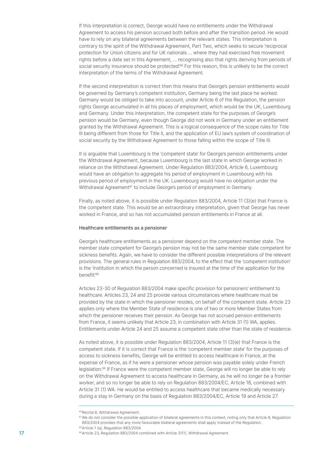If this interpretation is correct, George would have no entitlements under the Withdrawal Agreement to access his pension accrued both before and after the transition period. He would have to rely on any bilateral agreements between the relevant states. This interpretation is contrary to the spirit of the Withdrawal Agreement, Part Two, which seeks to secure 'reciprocal protection for Union citizens and for UK nationals … where they had exercised free movement rights before a date set in this Agreement, … recognising also that rights deriving from periods of social security insurance should be protected.<sup>86</sup> For this reason, this is unlikely to be the correct interpretation of the terms of the Withdrawal Agreement.

If the second interpretation is correct then this means that George's pension entitlements would be governed by Germany's competent institution, Germany being the last place he worked. Germany would be obliged to take into account, under Article 6 of the Regulation, the pension rights George accumulated in all his places of employment, which would be the UK, Luxembourg and Germany. Under this interpretation, the competent state for the purposes of George's pension would be Germany, even though George did not work in Germany under an entitlement granted by the Withdrawal Agreement. This is a logical consequence of the scope rules for Title III being different from those for Title II, and the application of EU law's system of coordination of social security by the Withdrawal Agreement to those falling within the scope of Title III.

It is arguable that Luxembourg is the 'competent state' for George's pension entitlements under the Withdrawal Agreement, because Luxembourg is the last state in which George worked in reliance on the Withdrawal Agreement. Under Regulation 883/2004, Article 6, Luxembourg would have an obligation to aggregate his period of employment in Luxembourg with his previous period of employment in the UK. Luxembourg would have no obligation under the Withdrawal Agreement<sup>87</sup> to include George's period of employment in Germany.

Finally, as noted above, it is possible under Regulation 883/2004, Article 11 (3)(e) that France is the competent state. This would be an extraordinary interpretation, given that George has never worked in France, and so has not accumulated pension entitlements in France at all.

#### Healthcare entitlements as a pensioner

George's healthcare entitlements as a pensioner depend on the competent member state. The member state competent for George's pension may not be the same member state competent for sickness benefits. Again, we have to consider the different possible interpretations of the relevant provisions. The general rules in Regulation 883/2004, to the effect that the 'competent institution' is the 'institution in which the person concerned is insured at the time of the application for the benefit'88

Articles 23-30 of Regulation 883/2004 make specific provision for pensioners' entitlement to healthcare. Articles 23, 24 and 25 provide various circumstances where healthcare must be provided by the state in which the pensioner resides, on behalf of the competent state. Article 23 applies only where the Member State of residence is one of two or more Member States from which the pensioner receives their pension. As George has not accrued pension entitlements from France, it seems unlikely that Article 23, in combination with Article 31 (1) WA, applies. Entitlements under Article 24 and 25 assume a competent state other than the state of residence.

As noted above, it is possible under Regulation 883/2004, Article 11 (3)(e) that France is the competent state. If it is correct that France is the 'competent member state' for the purposes of access to sickness benefits, George will be entitled to access healthcare in France, at the expense of France, as if he were a pensioner whose pension was payable solely under French legislation.89 If France were the competent member state, George will no longer be able to rely on the Withdrawal Agreement to access healthcare in Germany, as he will no longer be a frontier worker, and so no longer be able to rely on Regulation 883/2004/EC, Article 18, combined with Article 31 (1) WA. He would be entitled to access healthcare that became medically necessary during a stay in Germany on the basis of Regulation 883/2004/EC, Article 19 and Article 27.

<sup>86</sup> Recital 6, Withdrawal Agreement.

<sup>87</sup> We do not consider the possible application of bilateral agreements in this context, noting only that Article 8, Regulation 883/2004 provides that any more favourable bilateral agreements shall apply instead of the Regulation.

<sup>88</sup> Article 1 (q), Regulation 883/2004.

<sup>89 17</sup> **17** Article 23, Regulation 883/2004 combined with Article 31(1), Withdrawal Agreement.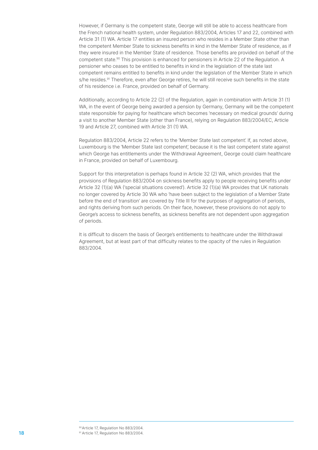However, if Germany is the competent state, George will still be able to access healthcare from the French national health system, under Regulation 883/2004, Articles 17 and 22, combined with Article 31 (1) WA. Article 17 entitles an insured person who resides in a Member State other than the competent Member State to sickness benefits in kind in the Member State of residence, as if they were insured in the Member State of residence. Those benefits are provided on behalf of the competent state.<sup>90</sup> This provision is enhanced for pensioners in Article 22 of the Regulation. A pensioner who ceases to be entitled to benefits in kind in the legislation of the state last competent remains entitled to benefits in kind under the legislation of the Member State in which s/he resides.<sup>91</sup> Therefore, even after George retires, he will still receive such benefits in the state of his residence i.e. France, provided on behalf of Germany.

Additionally, according to Article 22 (2) of the Regulation, again in combination with Article 31 (1) WA, in the event of George being awarded a pension by Germany, Germany will be the competent state responsible for paying for healthcare which becomes 'necessary on medical grounds' during a visit to another Member State (other than France), relying on Regulation 883/2004/EC, Article 19 and Article 27, combined with Article 31 (1) WA.

Regulation 883/2004, Article 22 refers to the 'Member State last competent'. If, as noted above, Luxembourg is the 'Member State last competent', because it is the last competent state against which George has entitlements under the Withdrawal Agreement, George could claim healthcare in France, provided on behalf of Luxembourg.

Support for this interpretation is perhaps found in Article 32 (2) WA, which provides that the provisions of Regulation 883/2004 on sickness benefits apply to people receiving benefits under Article 32 (1)(a) WA ('special situations covered'). Article 32 (1)(a) WA provides that UK nationals no longer covered by Article 30 WA who 'have been subject to the legislation of a Member State before the end of transition' are covered by Title III for the purposes of aggregation of periods, and rights deriving from such periods. On their face, however, these provisions do not apply to George's access to sickness benefits, as sickness benefits are not dependent upon aggregation of periods.

It is difficult to discern the basis of George's entitlements to healthcare under the Withdrawal Agreement, but at least part of that difficulty relates to the opacity of the rules in Regulation 883/2004.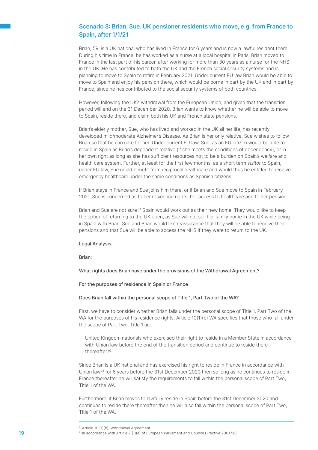## Scenario 3: Brian, Sue. UK pensioner residents who move, e.g. from France to Spain, after 1/1/21

Brian, 59, is a UK national who has lived in France for 6 years and is now a lawful resident there. During his time in France, he has worked as a nurse at a local hospital in Paris. Brian moved to France in the last part of his career, after working for more than 30 years as a nurse for the NHS in the UK. He has contributed to both the UK and the French social security systems and is planning to move to Spain to retire in February 2021. Under current EU law Brian would be able to move to Spain and enjoy his pension there, which would be borne in part by the UK and in part by France, since he has contributed to the social security systems of both countries.

However, following the UK's withdrawal from the European Union, and given that the transition period will end on the 31 December 2020, Brian wants to know whether he will be able to move to Spain, reside there, and claim both his UK and French state pensions.

Brian's elderly mother, Sue, who has lived and worked in the UK all her life, has recently developed mild/moderate Alzheimer's Disease. As Brian is her only relative, Sue wishes to follow Brian so that he can care for her. Under current EU law, Sue, as an EU citizen would be able to reside in Spain as Brian's dependent relative (if she meets the conditions of dependency), or in her own right as long as she has sufficient resources not to be a burden on Spain's welfare and health care system. Further, at least for the first few months, as a short term visitor to Spain, under EU law, Sue could benefit from reciprocal healthcare and would thus be entitled to receive emergency healthcare under the same conditions as Spanish citizens.

If Brian stays in France and Sue joins him there, or if Brian and Sue move to Spain in February 2021, Sue is concerned as to her residence rights, her access to healthcare and to her pension.

Brian and Sue are not sure if Spain would work out as their new home. They would like to keep the option of returning to the UK open, as Sue will not sell her family home in the UK while being in Spain with Brian. Sue and Brian would like reassurance that they will be able to receive their pensions and that Sue will be able to access the NHS if they were to return to the UK.

#### Legal Analysis:

Brian:

What rights does Brian have under the provisions of the Withdrawal Agreement?

For the purposes of residence in Spain or France

#### Does Brian fall within the personal scope of Title 1, Part Two of the WA?

First, we have to consider whether Brian falls under the personal scope of Title 1, Part Two of the WA for the purposes of his residence rights. Article 10(1)(b) WA specifies that those who fall under the scope of Part Two, Title 1 are

United Kingdom nationals who exercised their right to reside in a Member State in accordance with Union law before the end of the transition period and continue to reside there thereafter.92

Since Brian is a UK national and has exercised his right to reside in France in accordance with Union law<sup>93</sup> for 6 years before the 31st December 2020 then so long as he continues to reside in France thereafter he will satisfy the requirements to fall within the personal scope of Part Two, Title 1 of the WA.

Furthermore, if Brian moves to lawfully reside in Spain before the 31st December 2020 and continues to reside there thereafter then he will also fall within the personal scope of Part Two, Title 1 of the WA.

<sup>92</sup> Article 10 (1)(b), Withdrawal Agreement.

<sup>19</sup> **19** 19 In accordance with Article 7 (1)(a) of European Parliament and Council Directive 2004/38.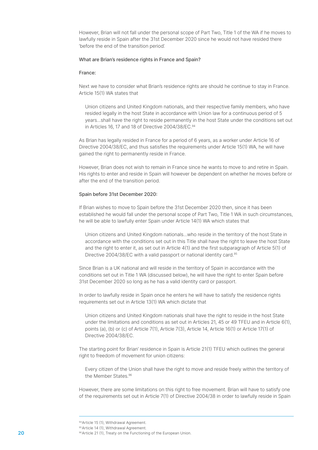However, Brian will not fall under the personal scope of Part Two, Title 1 of the WA if he moves to lawfully reside in Spain after the 31st December 2020 since he would not have resided there 'before the end of the transition period'.

#### What are Brian's residence rights in France and Spain?

#### France:

Next we have to consider what Brian's residence rights are should he continue to stay in France. Article 15(1) WA states that

Union citizens and United Kingdom nationals, and their respective family members, who have resided legally in the host State in accordance with Union law for a continuous period of 5 years...shall have the right to reside permanently in the host State under the conditions set out in Articles 16, 17 and 18 of Directive 2004/38/EC.<sup>94</sup>

As Brian has legally resided in France for a period of 6 years, as a worker under Article 16 of Directive 2004/38/EC, and thus satisfies the requirements under Article 15(1) WA, he will have gained the right to permanently reside in France.

However, Brian does not wish to remain in France since he wants to move to and retire in Spain. His rights to enter and reside in Spain will however be dependent on whether he moves before or after the end of the transition period.

#### Spain before 31st December 2020:

If Brian wishes to move to Spain before the 31st December 2020 then, since it has been established he would fall under the personal scope of Part Two, Title 1 WA in such circumstances, he will be able to lawfully enter Spain under Article 14(1) WA which states that

Union citizens and United Kingdom nationals...who reside in the territory of the host State in accordance with the conditions set out in this Title shall have the right to leave the host State and the right to enter it, as set out in Article 4(1) and the first subparagraph of Article 5(1) of Directive 2004/38/EC with a valid passport or national identity card.<sup>95</sup>

Since Brian is a UK national and will reside in the territory of Spain in accordance with the conditions set out in Title 1 WA (discussed below), he will have the right to enter Spain before 31st December 2020 so long as he has a valid identity card or passport.

In order to lawfully reside in Spain once he enters he will have to satisfy the residence rights requirements set out in Article 13(1) WA which dictate that

Union citizens and United Kingdom nationals shall have the right to reside in the host State under the limitations and conditions as set out in Articles 21, 45 or 49 TFEU and in Article 6(1), points (a), (b) or (c) of Article 7(1), Article 7(3), Article 14, Article 16(1) or Article 17(1) of Directive 2004/38/EC.

The starting point for Brian' residence in Spain is Article 21(1) TFEU which outlines the general right to freedom of movement for union citizens:

Every citizen of the Union shall have the right to move and reside freely within the territory of the Member States.96

However, there are some limitations on this right to free movement. Brian will have to satisfy one of the requirements set out in Article 7(1) of Directive 2004/38 in order to lawfully reside in Spain

<sup>94</sup> Article 15 (1), Withdrawal Agreement.

<sup>95</sup> Article 14 (1), Withdrawal Agreement.

**<sup>20</sup> Branch 21 (1)**, Treaty on the Functioning of the European Union.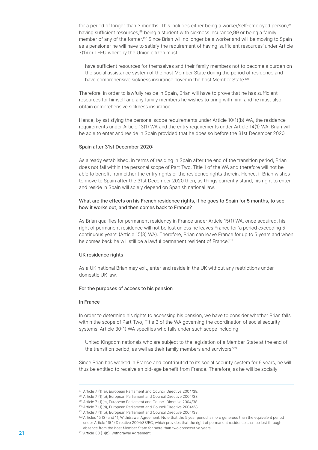for a period of longer than 3 months. This includes either being a worker/self-employed person,<sup>97</sup> having sufficient resources,<sup>98</sup> being a student with sickness insurance,99 or being a family member of any of the former.100 Since Brian will no longer be a worker and will be moving to Spain as a pensioner he will have to satisfy the requirement of having 'sufficient resources' under Article 7(1)(b) TFEU whereby the Union citizen must

have sufficient resources for themselves and their family members not to become a burden on the social assistance system of the host Member State during the period of residence and have comprehensive sickness insurance cover in the host Member State.<sup>101</sup>

Therefore, in order to lawfully reside in Spain, Brian will have to prove that he has sufficient resources for himself and any family members he wishes to bring with him, and he must also obtain comprehensive sickness insurance.

Hence, by satisfying the personal scope requirements under Article 10(1)(b) WA, the residence requirements under Article 13(1) WA and the entry requirements under Article 14(1) WA, Brian will be able to enter and reside in Spain provided that he does so before the 31st December 2020.

#### Spain after 31st December 2020:

As already established, in terms of residing in Spain after the end of the transition period, Brian does not fall within the personal scope of Part Two, Title 1 of the WA and therefore will not be able to benefit from either the entry rights or the residence rights therein. Hence, if Brian wishes to move to Spain after the 31st December 2020 then, as things currently stand, his right to enter and reside in Spain will solely depend on Spanish national law.

#### What are the effects on his French residence rights, if he goes to Spain for 5 months, to see how it works out, and then comes back to France?

As Brian qualifies for permanent residency in France under Article 15(1) WA, once acquired, his right of permanent residence will not be lost unless he leaves France for 'a period exceeding 5 continuous years' (Article 15(3) WA). Therefore, Brian can leave France for up to 5 years and when he comes back he will still be a lawful permanent resident of France.<sup>102</sup>

#### UK residence rights

As a UK national Brian may exit, enter and reside in the UK without any restrictions under domestic UK law.

#### For the purposes of access to his pension

#### In France

In order to determine his rights to accessing his pension, we have to consider whether Brian falls within the scope of Part Two, Title 3 of the WA governing the coordination of social security systems. Article 30(1) WA specifies who falls under such scope including

United Kingdom nationals who are subject to the legislation of a Member State at the end of the transition period, as well as their family members and survivors.<sup>103</sup>

Since Brian has worked in France and contributed to its social security system for 6 years, he will thus be entitled to receive an old-age benefit from France. Therefore, as he will be socially

<sup>97</sup> Article 7 (1)(a), European Parliament and Council Directive 2004/38.

<sup>98</sup> Article 7 (1)(b), European Parliament and Council Directive 2004/38.

<sup>99</sup> Article 7 (1)(c), European Parliament and Council Directive 2004/38.

<sup>100</sup>Article 7 (1)(d), European Parliament and Council Directive 2004/38.

<sup>101</sup> Article 7 (1)(b), European Parliament and Council Directive 2004/38.

<sup>102</sup> Articles 15 (3) and 11, Withdrawal Agreement. Note that the 5 year period is more generous than the equivalent period under Article 16(4) Directive 2004/38/EC, which provides that the right of permanent residence shall be lost through absence from the host Member State for more than two consecutive years.

**<sup>21</sup> 103** Article 30 (1)(b), Withdrawal Agreement.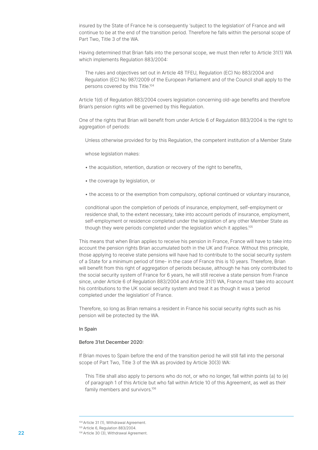insured by the State of France he is consequently 'subject to the legislation' of France and will continue to be at the end of the transition period. Therefore he falls within the personal scope of Part Two, Title 3 of the WA.

Having determined that Brian falls into the personal scope, we must then refer to Article 31(1) WA which implements Regulation 883/2004:

The rules and objectives set out in Article 48 TFEU, Regulation (EC) No 883/2004 and Regulation (EC) No 987/2009 of the European Parliament and of the Council shall apply to the persons covered by this Title.104

Article 1(d) of Regulation 883/2004 covers legislation concerning old-age benefits and therefore Brian's pension rights will be governed by this Regulation.

One of the rights that Brian will benefit from under Article 6 of Regulation 883/2004 is the right to aggregation of periods:

Unless otherwise provided for by this Regulation, the competent institution of a Member State

whose legislation makes:

- the acquisition, retention, duration or recovery of the right to benefits,
- the coverage by legislation, or
- the access to or the exemption from compulsory, optional continued or voluntary insurance,

conditional upon the completion of periods of insurance, employment, self-employment or residence shall, to the extent necessary, take into account periods of insurance, employment, self-employment or residence completed under the legislation of any other Member State as though they were periods completed under the legislation which it applies.<sup>105</sup>

This means that when Brian applies to receive his pension in France, France will have to take into account the pension rights Brian accumulated both in the UK and France. Without this principle, those applying to receive state pensions will have had to contribute to the social security system of a State for a minimum period of time- in the case of France this is 10 years. Therefore, Brian will benefit from this right of aggregation of periods because, although he has only contributed to the social security system of France for 6 years, he will still receive a state pension from France since, under Article 6 of Regulation 883/2004 and Article 31(1) WA, France must take into account his contributions to the UK social security system and treat it as though it was a 'period completed under the legislation' of France.

Therefore, so long as Brian remains a resident in France his social security rights such as his pension will be protected by the WA.

#### In Spain

#### Before 31st December 2020:

If Brian moves to Spain before the end of the transition period he will still fall into the personal scope of Part Two, Title 3 of the WA as provided by Article 30(3) WA:

This Title shall also apply to persons who do not, or who no longer, fall within points (a) to (e) of paragraph 1 of this Article but who fall within Article 10 of this Agreement, as well as their family members and survivors.106

<sup>104</sup>Article 31 (1), Withdrawal Agreement.

<sup>105</sup> Article 6, Regulation 883/2004.

**<sup>22</sup> 106 Article 30 (3), Withdrawal Agreement.**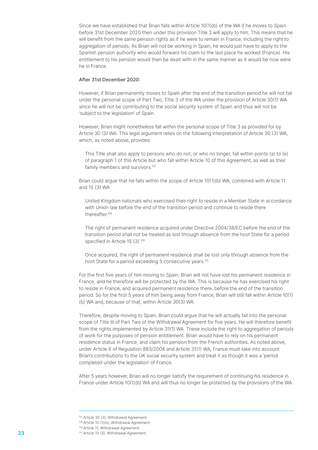Since we have established that Brian falls within Article 10(1)(b) of the WA if he moves to Spain before 31st December 2020 then under this provision Title 3 will apply to him. This means that he will benefit from the same pension rights as if he were to remain in France, including the right to aggregation of periods. As Brian will not be working in Spain, he would just have to apply to the Spanish pension authority who would forward his claim to the last place he worked (France). His entitlement to his pension would then be dealt with in the same manner as it would be now were he in France.

#### After 31st December 2020:

However, if Brian permanently moves to Spain after the end of the transition period he will not fall under the personal scope of Part Two, Title 3 of the WA under the provision of Article 30(1) WA since he will not be contributing to the social security system of Spain and thus will not be 'subject to the legislation' of Spain.

However, Brian might nonetheless fall within the personal scope of Title 3 as provided for by Article 30 (3) WA. This legal argument relies on the following interpretation of Article 30 (3) WA, which, as noted above, provides:

This Title shall also apply to persons who do not, or who no longer, fall within points (a) to (e) of paragraph 1 of this Article but who fall within Article 10 of this Agreement, as well as their family members and survivors.<sup>107</sup>

Brian could argue that he falls within the scope of Article 10(1)(b) WA, combined with Article 11 and 15 (3) WA:

United Kingdom nationals who exercised their right to reside in a Member State in accordance with Union law before the end of the transition period and continue to reside there thereafter.108

The right of permanent residence acquired under Directive 2004/38/EC before the end of the transition period shall not be treated as lost through absence from the host State for a period specified in Article 15 (3).<sup>109</sup>

Once acquired, the right of permanent residence shall be lost only through absence from the host State for a period exceeding 5 consecutive years.<sup>110</sup>

For the first five years of him moving to Spain, Brian will not have lost his permanent residence in France, and he therefore will be protected by the WA. This is because he has exercised his right to reside in France, and acquired permanent residence there, before the end of the transition period. So for the first 5 years of him being away from France, Brian will still fall within Article 10(1) (b) WA and, because of that, within Article 30(3) WA.

Therefore, despite moving to Spain, Brian could argue that he will actually fall into the personal scope of Title III of Part Two of the Withdrawal Agreement for five years. He will therefore benefit from the rights implemented by Article 31(1) WA. These include the right to aggregation of periods of work for the purposes of pension entitlement. Brian would have to rely on his permanent residence status in France, and claim his pension from the French authorities. As noted above, under Article 6 of Regulation 883/2004 and Article 31(1) WA, France must take into account Brian's contributions to the UK social security system and treat it as though it was a 'period completed under the legislation' of France.

After 5 years however, Brian will no longer satisfy the requirement of continuing his residence in France under Article 10(1)(b) WA and will thus no longer be protected by the provisions of the WA.

<sup>107</sup> Article 30 (3), Withdrawal Agreement.

<sup>108</sup> Article 10 (1)(b), Withdrawal Agreement.

<sup>109</sup> Article 11, Withdrawal Agreement.

**<sup>23</sup> CONFIDENTIST 110** Article 15 (3), Withdrawal Agreement.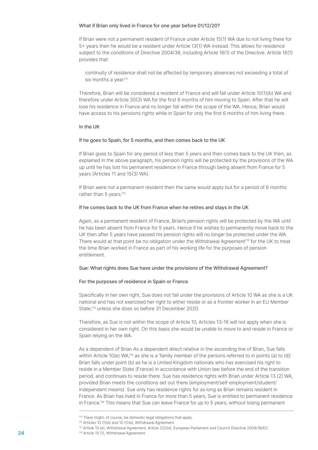#### What if Brian only lived in France for one year before 01/12/20?

If Brian were not a permanent resident of France under Article 15(1) WA due to not living there for 5+ years then he would be a resident under Article 13(1) WA instead. This allows for residence subject to the conditions of Directive 2004/38, including Article 16(1) of the Directive. Article 16(1) provides that

continuity of residence shall not be affected by temporary absences not exceeding a total of six months a year.<sup>111</sup>

Therefore, Brian will be considered a resident of France and will fall under Article 10(1)(b) WA and therefore under Article 30(3) WA for the first 6 months of him moving to Spain. After that he will lose his residence in France and no longer fall within the scope of the WA. Hence, Brian would have access to his pensions rights while in Spain for only the first 6 months of him living there.

#### In the UK

#### If he goes to Spain, for 5 months, and then comes back to the UK

If Brian goes to Spain for any period of less than 5 years and then comes back to the UK then, as explained in the above paragraph, his pension rights will be protected by the provisions of the WA up until he has lost his permanent residence in France through being absent from France for 5 years (Articles 11 and 15(3) WA).

If Brian were not a permanent resident then the same would apply but for a period of 6 months rather than 5 years.<sup>112</sup>

#### If he comes back to the UK from France when he retires and stays in the UK

Again, as a permanent resident of France, Brian's pension rights will be protected by the WA until he has been absent from France for 5 years. Hence if he wishes to permanently move back to the UK then after 5 years have passed his pension rights will no longer be protected under the WA. There would at that point be no obligation under the Withdrawal Agreement<sup>113</sup> for the UK to treat the time Brian worked in France as part of his working life for the purposes of pension entitlement.

#### Sue: What rights does Sue have under the provisions of the Withdrawal Agreement?

#### For the purposes of residence in Spain or France

Specifically in her own right, Sue does not fall under the provisions of Article 10 WA as she is a UK national and has not exercised her right to either reside or as a frontier worker in an EU Member State,<sup>114</sup> unless she does so before 31 December 2020.

Therefore, as Sue is not within the scope of Article 10, Articles 13-16 will not apply when she is considered in her own right. On this basis she would be unable to move to and reside in France or Spain relying on the WA.

As a dependent of Brian As a dependent direct relative in the ascending line of Brian, Sue falls within Article 10(e) WA,115 as she is a 'family member of the persons referred to in points (a) to (d)'. Brian falls under point (b) as he is a United Kingdom nationals who has exercised his right to reside in a Member State (France) in accordance with Union law before the end of the transition period, and continues to reside there. Sue has residence rights with Brian under Article 13 (2) WA, provided Brian meets the conditions set out there (employment/self-employment/student/ independent means). Sue only has residence rights for as long as Brian remains resident in France. As Brian has lived in France for more than 5 years, Sue is entitled to permanent residence in France.<sup>116</sup> This means that Sue can leave France for up to 5 years, without losing permanent

<sup>113</sup> There might, of course, be domestic legal obligations that apply.

<sup>114</sup> Articles 10 (1)(b) and 10 (1)(d), Withdrawal Agreement.

<sup>115</sup> Article 10 (e), Withdrawal Agreement; Article 2(2)(d), European Parliament and Council Directive 2004/38/EC.

**<sup>24</sup> 116** Article 15 (1), Withdrawal Agreement.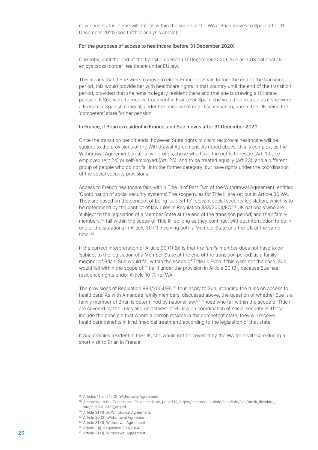residence status.<sup>117</sup> Sue will not fall within the scope of the WA if Brian moves to Spain after 31 December 2020 (see further analysis above).

#### For the purposes of access to healthcare (before 31 December 2020)

Currently, until the end of the transition period (31 December 2020), Sue as a UK national still enjoys cross-border healthcare under EU law.

This means that if Sue were to move to either France or Spain before the end of the transition period, this would provide her with healthcare rights in that country until the end of the transition period, provided that she remains legally resident there and that she is drawing a UK state pension. If Sue were to receive treatment in France or Spain, she would be treated as if she were a French or Spanish national, under the principle of non-discrimination, due to the UK being the 'competent' state for her pension.

#### In France, if Brian is resident in France, and Sue moves after 31 December 2020

Once the transition period ends, however, Sue's rights to claim reciprocal healthcare will be subject to the provisions of the Withdrawal Agreement. As noted above, this is complex, as the Withdrawal Agreement creates two groups, those who have the rights to reside (Art. 13), be employed (Art.24) or self-employed (Art. 25), and to be treated equally (Art 23), and a different group of people who do not fall into the former category, but have rights under the coordination of the social security provisions.

Access to French healthcare falls within Title III of Part Two of the Withdrawal Agreement, entitled 'Coordination of social security systems'. The scope rules for Title III are set out in Article 30 WA. They are based on the concept of being 'subject to' relevant social security legislation, which is to be determined by the conflict of law rules in Regulation 883/2004/EC.<sup>118</sup> UK nationals who are 'subject to the legislation of a Member State at the end of the transition period', and their family members,119 fall within the scope of Title III, so long as they continue, without interruption to be in one of the situations in Article 30 (1) involving both a Member State and the UK at the same time.120

If the correct interpretation of Article 30 (1) (b) is that the family member does not have to be 'subject to the legislation of a Member State at the end of the transition period', as a family member of Brian, Sue would fall within the scope of Title III. Even if this were not the case, Sue would fall within the scope of Title III under the provision in Article 30 (3), because Sue has residence rights under Article 10 (1) (e) WA.

The provisions of Regulation 883/2004/EC<sup>121</sup> thus apply to Sue, including the rules on access to healthcare. As with Amanda's family members, discussed above, the question of whether Sue is a family member of Brian is determined by national law.<sup>122</sup> Those who fall within the scope of Title III are covered by the 'rules and objectives' of EU law on coordination of social security.<sup>123</sup> These include the principle that where a person resides in the competent state, they will receive healthcare benefits in kind (medical treatment) according to the legislation of that state.

If Sue remains resident in the UK, she would not be covered by the WA for healthcare during a short visit to Brian in France.

<sup>117</sup> Articles 11 and 15(3), Withdrawal Agreement.

<sup>&</sup>lt;sup>118</sup> According to the Commission Guidance Note, para 3.1.1, https://ec.europa.eu/info/sites/info/files/brexit\_files/info site/c-2020-2939\_en.pdf.

<sup>119</sup> Article 31 (1)(b), Withdrawal Agreement.

<sup>120</sup> Article 30 (2), Withdrawal Agreement.

<sup>121</sup> Article 31 (1), Withdrawal Agreement.

<sup>122</sup> Article 1 (i), Regulation 883/2004.

**<sup>25</sup> 123** Article 31 (1), Withdrawal Agreement.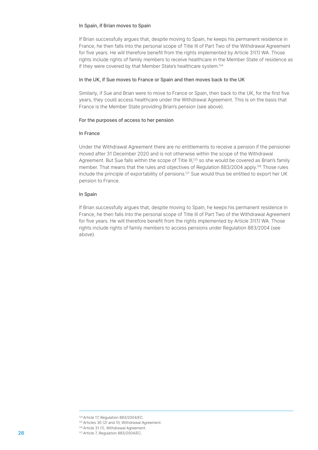#### In Spain, if Brian moves to Spain

If Brian successfully argues that, despite moving to Spain, he keeps his permanent residence in France, he then falls into the personal scope of Title III of Part Two of the Withdrawal Agreement for five years. He will therefore benefit from the rights implemented by Article 31(1) WA. Those rights include rights of family members to receive healthcare in the Member State of residence as if they were covered by that Member State's healthcare system.124

#### In the UK, if Sue moves to France or Spain and then moves back to the UK

Similarly, if Sue and Brian were to move to France or Spain, then back to the UK, for the first five years, they could access healthcare under the Withdrawal Agreement. This is on the basis that France is the Member State providing Brian's pension (see above).

#### For the purposes of access to her pension

#### In France

Under the Withdrawal Agreement there are no entitlements to receive a pension if the pensioner moved after 31 December 2020 and is not otherwise within the scope of the Withdrawal Agreement. But Sue falls within the scope of Title III,<sup>125</sup> so she would be covered as Brian's family member. That means that the rules and objectives of Regulation 883/2004 apply.<sup>126</sup> Those rules include the principle of exportability of pensions.127 Sue would thus be entitled to export her UK pension to France.

#### In Spain

If Brian successfully argues that, despite moving to Spain, he keeps his permanent residence in France, he then falls into the personal scope of Title III of Part Two of the Withdrawal Agreement for five years. He will therefore benefit from the rights implemented by Article 31(1) WA. Those rights include rights of family members to access pensions under Regulation 883/2004 (see above).

<sup>124</sup>Article 17, Regulation 883/2004/EC.

<sup>125</sup> Articles 30 (2) and 10, Withdrawal Agreement.

<sup>126</sup> Article 31 (1), Withdrawal Agreement. **26 127 Article 7, Regulation 883/2004/EC.**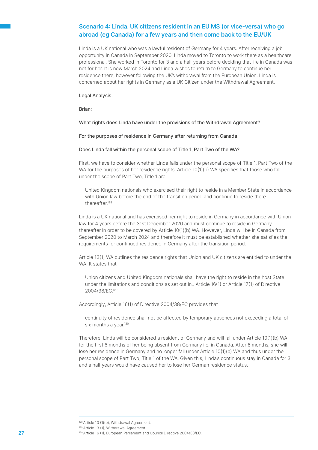# Scenario 4: Linda. UK citizens resident in an EU MS (or vice-versa) who go abroad (eg Canada) for a few years and then come back to the EU/UK

Linda is a UK national who was a lawful resident of Germany for 4 years. After receiving a job opportunity in Canada in September 2020, Linda moved to Toronto to work there as a healthcare professional. She worked in Toronto for 3 and a half years before deciding that life in Canada was not for her. It is now March 2024 and Linda wishes to return to Germany to continue her residence there, however following the UK's withdrawal from the European Union, Linda is concerned about her rights in Germany as a UK Citizen under the Withdrawal Agreement.

#### Legal Analysis:

Brian:

#### What rights does Linda have under the provisions of the Withdrawal Agreement?

For the purposes of residence in Germany after returning from Canada

#### Does Linda fall within the personal scope of Title 1, Part Two of the WA?

First, we have to consider whether Linda falls under the personal scope of Title 1, Part Two of the WA for the purposes of her residence rights. Article 10(1)(b) WA specifies that those who fall under the scope of Part Two, Title 1 are

United Kingdom nationals who exercised their right to reside in a Member State in accordance with Union law before the end of the transition period and continue to reside there thereafter.128

Linda is a UK national and has exercised her right to reside in Germany in accordance with Union law for 4 years before the 31st December 2020 and must continue to reside in Germany thereafter in order to be covered by Article 10(1)(b) WA. However, Linda will be in Canada from September 2020 to March 2024 and therefore it must be established whether she satisfies the requirements for continued residence in Germany after the transition period.

Article 13(1) WA outlines the residence rights that Union and UK citizens are entitled to under the WA. It states that

Union citizens and United Kingdom nationals shall have the right to reside in the host State under the limitations and conditions as set out in…Article 16(1) or Article 17(1) of Directive 2004/38/EC.129

Accordingly, Article 16(1) of Directive 2004/38/EC provides that

continuity of residence shall not be affected by temporary absences not exceeding a total of six months a year.<sup>130</sup>

Therefore, Linda will be considered a resident of Germany and will fall under Article 10(1)(b) WA for the first 6 months of her being absent from Germany i.e. in Canada. After 6 months, she will lose her residence in Germany and no longer fall under Article 10(1)(b) WA and thus under the personal scope of Part Two, Title 1 of the WA. Given this, Linda's continuous stay in Canada for 3 and a half years would have caused her to lose her German residence status.

<sup>128</sup> Article 10 (1)(b), Withdrawal Agreement.

<sup>129</sup> Article 13 (1), Withdrawal Agreement.

<sup>27</sup> **130 Article 16 (1), European Parliament and Council Directive 2004/38/EC.**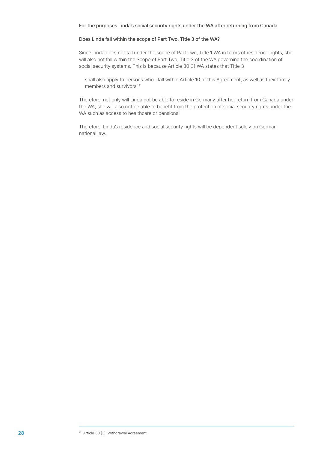#### For the purposes Linda's social security rights under the WA after returning from Canada

#### Does Linda fall within the scope of Part Two, Title 3 of the WA?

Since Linda does not fall under the scope of Part Two, Title 1 WA in terms of residence rights, she will also not fall within the Scope of Part Two, Title 3 of the WA governing the coordination of social security systems. This is because Article 30(3) WA states that Title 3

shall also apply to persons who…fall within Article 10 of this Agreement, as well as their family members and survivors.<sup>131</sup>

Therefore, not only will Linda not be able to reside in Germany after her return from Canada under the WA, she will also not be able to benefit from the protection of social security rights under the WA such as access to healthcare or pensions.

Therefore, Linda's residence and social security rights will be dependent solely on German national law.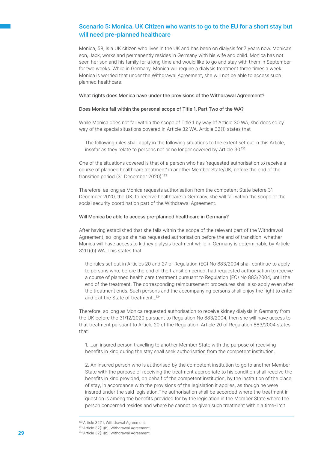# Scenario 5: Monica. UK Citizen who wants to go to the EU for a short stay but will need pre-planned healthcare

Monica, 58, is a UK citizen who lives in the UK and has been on dialysis for 7 years now. Monica's son, Jack, works and permanently resides in Germany with his wife and child. Monica has not seen her son and his family for a long time and would like to go and stay with them in September for two weeks. While in Germany, Monica will require a dialysis treatment three times a week. Monica is worried that under the Withdrawal Agreement, she will not be able to access such planned healthcare.

#### What rights does Monica have under the provisions of the Withdrawal Agreement?

#### Does Monica fall within the personal scope of Title 1, Part Two of the WA?

While Monica does not fall within the scope of Title 1 by way of Article 30 WA, she does so by way of the special situations covered in Article 32 WA. Article 32(1) states that

The following rules shall apply in the following situations to the extent set out in this Article, insofar as they relate to persons not or no longer covered by Article 30.132

One of the situations covered is that of a person who has 'requested authorisation to receive a course of planned healthcare treatment' in another Member State/UK, before the end of the transition period (31 December 2020).<sup>133</sup>

Therefore, as long as Monica requests authorisation from the competent State before 31 December 2020, the UK, to receive healthcare in Germany, she will fall within the scope of the social security coordination part of the Withdrawal Agreement.

#### Will Monica be able to access pre-planned healthcare in Germany?

After having established that she falls within the scope of the relevant part of the Withdrawal Agreement, so long as she has requested authorisation before the end of transition, whether Monica will have access to kidney dialysis treatment while in Germany is determinable by Article 32(1)(b) WA. This states that

the rules set out in Articles 20 and 27 of Regulation (EC) No 883/2004 shall continue to apply to persons who, before the end of the transition period, had requested authorisation to receive a course of planned health care treatment pursuant to Regulation (EC) No 883/2004, until the end of the treatment. The corresponding reimbursement procedures shall also apply even after the treatment ends. Such persons and the accompanying persons shall enjoy the right to enter and exit the State of treatment...134

Therefore, so long as Monica requested authorisation to receive kidney dialysis in Germany from the UK before the 31/12/2020 pursuant to Regulation No 883/2004, then she will have access to that treatment pursuant to Article 20 of the Regulation. Article 20 of Regulation 883/2004 states that

1. ...an insured person travelling to another Member State with the purpose of receiving benefits in kind during the stay shall seek authorisation from the competent institution.

2. An insured person who is authorised by the competent institution to go to another Member State with the purpose of receiving the treatment appropriate to his condition shall receive the benefits in kind provided, on behalf of the competent institution, by the institution of the place of stay, in accordance with the provisions of the legislation it applies, as though he were insured under the said legislation.The authorisation shall be accorded where the treatment in question is among the benefits provided for by the legislation in the Member State where the person concerned resides and where he cannot be given such treatment within a time-limit

133 Article 32(1)(b), Withdrawal Agreement.

<sup>132</sup> Article 32(1), Withdrawal Agreement.

**<sup>29</sup> 134** Article 32(1)(b), Withdrawal Agreement.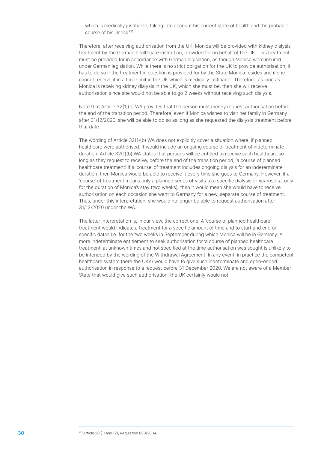which is medically justifiable, taking into account his current state of health and the probable course of his illness.<sup>135</sup>

Therefore, after receiving authorisation from the UK, Monica will be provided with kidney dialysis treatment by the German healthcare institution, provided for on behalf of the UK. This treatment must be provided for in accordance with German legislation, as though Monica were insured under German legislation. While there is no strict obligation for the UK to provide authorisation, it has to do so if the treatment in question is provided for by the State Monica resides and if she cannot receive it in a time-limit in the UK which is medically justifiable. Therefore, as long as Monica is receiving kidney dialysis in the UK, which she must be, then she will receive authorisation since she would not be able to go 2 weeks without receiving such dialysis.

Note that Article 32(1)(b) WA provides that the person must merely request authorisation before the end of the transition period. Therefore, even if Monica wishes to visit her family in Germany after 31/12/2020, she will be able to do so as long as she requested the dialysis treatment before that date.

The wording of Article 32(1)(b) WA does not explicitly cover a situation where, if planned healthcare were authorised, it would include an ongoing course of treatment of indeterminate duration. Article 32(1)(b) WA states that persons will be entitled to receive such healthcare so long as they request to receive, before the end of the transition period, 'a course of planned healthcare treatment'. If a 'course' of treatment includes ongoing dialysis for an indeterminate duration, then Monica would be able to receive it every time she goes to Germany. However, if a 'course' of treatment means only a planned series of visits to a specific dialysis clinic/hospital only for the duration of Monica's stay (two weeks), then it would mean she would have to receive authorisation on each occasion she went to Germany for a new, separate course of treatment. Thus, under this interpretation, she would no longer be able to request authorisation after 31/12/2020 under the WA.

The latter interpretation is, in our view, the correct one. A 'course of planned healthcare' treatment would indicate a treatment for a specific amount of time and to start and end on specific dates i.e. for the two weeks in September during which Monica will be in Germany. A more indeterminate entitlement to seek authorisation for 'a course of planned healthcare treatment' at unknown times and not specified at the time authorisation was sought is unlikely to be intended by the wording of the Withdrawal Agreement. In any event, in practice the competent healthcare system (here the UK's) would have to give such indeterminate and open-ended authorisation in response to a request before 31 December 2020. We are not aware of a Member State that would give such authorisation: the UK certainly would not.